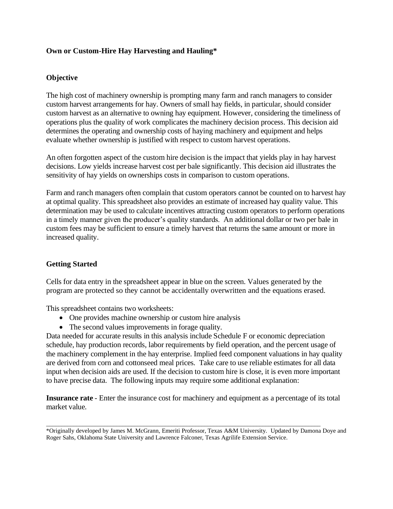# **Own or Custom-Hire Hay Harvesting and Hauling\***

# **Objective**

The high cost of machinery ownership is prompting many farm and ranch managers to consider custom harvest arrangements for hay. Owners of small hay fields, in particular, should consider custom harvest as an alternative to owning hay equipment. However, considering the timeliness of operations plus the quality of work complicates the machinery decision process. This decision aid determines the operating and ownership costs of haying machinery and equipment and helps evaluate whether ownership is justified with respect to custom harvest operations.

An often forgotten aspect of the custom hire decision is the impact that yields play in hay harvest decisions. Low yields increase harvest cost per bale significantly. This decision aid illustrates the sensitivity of hay yields on ownerships costs in comparison to custom operations.

Farm and ranch managers often complain that custom operators cannot be counted on to harvest hay at optimal quality. This spreadsheet also provides an estimate of increased hay quality value. This determination may be used to calculate incentives attracting custom operators to perform operations in a timely manner given the producer's quality standards. An additional dollar or two per bale in custom fees may be sufficient to ensure a timely harvest that returns the same amount or more in increased quality.

# **Getting Started**

Cells for data entry in the spreadsheet appear in blue on the screen. Values generated by the program are protected so they cannot be accidentally overwritten and the equations erased.

This spreadsheet contains two worksheets:

- One provides machine ownership or custom hire analysis
- The second values improvements in forage quality.

Data needed for accurate results in this analysis include Schedule F or economic depreciation schedule, hay production records, labor requirements by field operation, and the percent usage of the machinery complement in the hay enterprise. Implied feed component valuations in hay quality are derived from corn and cottonseed meal prices. Take care to use reliable estimates for all data input when decision aids are used. If the decision to custom hire is close, it is even more important to have precise data. The following inputs may require some additional explanation:

**Insurance rate** - Enter the insurance cost for machinery and equipment as a percentage of its total market value.

\_\_\_\_\_\_\_\_\_\_\_\_\_\_\_\_\_\_\_\_\_\_\_\_\_\_\_\_\_\_\_\_\_\_\_\_\_\_\_\_\_\_\_\_\_\_\_\_\_\_\_\_\_\_\_\_\_\_\_\_\_\_\_\_\_\_\_\_\_\_\_\_\_\_\_\_\_\_\_\_\_\_\_\_\_\_\_\_\_\_

<sup>\*</sup>Originally developed by James M. McGrann, Emeriti Professor, Texas A&M University. Updated by Damona Doye and Roger Sahs, Oklahoma State University and Lawrence Falconer, Texas Agrilife Extension Service.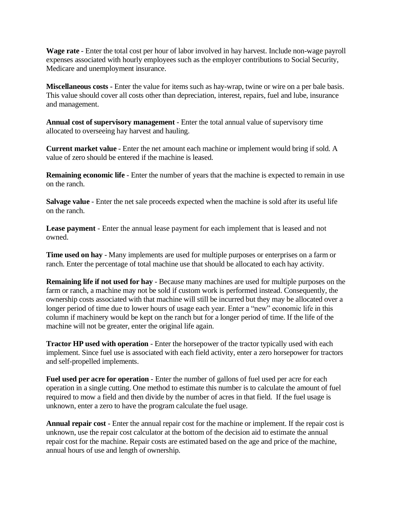**Wage rate** - Enter the total cost per hour of labor involved in hay harvest. Include non-wage payroll expenses associated with hourly employees such as the employer contributions to Social Security, Medicare and unemployment insurance.

**Miscellaneous costs -** Enter the value for items such as hay-wrap, twine or wire on a per bale basis. This value should cover all costs other than depreciation, interest, repairs, fuel and lube, insurance and management.

**Annual cost of supervisory management** - Enter the total annual value of supervisory time allocated to overseeing hay harvest and hauling.

**Current market value** - Enter the net amount each machine or implement would bring if sold. A value of zero should be entered if the machine is leased.

**Remaining economic life** - Enter the number of years that the machine is expected to remain in use on the ranch.

**Salvage value** - Enter the net sale proceeds expected when the machine is sold after its useful life on the ranch.

**Lease payment** - Enter the annual lease payment for each implement that is leased and not owned.

**Time used on hay** - Many implements are used for multiple purposes or enterprises on a farm or ranch. Enter the percentage of total machine use that should be allocated to each hay activity.

**Remaining life if not used for hay** - Because many machines are used for multiple purposes on the farm or ranch, a machine may not be sold if custom work is performed instead. Consequently, the ownership costs associated with that machine will still be incurred but they may be allocated over a longer period of time due to lower hours of usage each year. Enter a "new" economic life in this column if machinery would be kept on the ranch but for a longer period of time. If the life of the machine will not be greater, enter the original life again.

**Tractor HP used with operation** - Enter the horsepower of the tractor typically used with each implement. Since fuel use is associated with each field activity, enter a zero horsepower for tractors and self-propelled implements.

**Fuel used per acre for operation** - Enter the number of gallons of fuel used per acre for each operation in a single cutting. One method to estimate this number is to calculate the amount of fuel required to mow a field and then divide by the number of acres in that field. If the fuel usage is unknown, enter a zero to have the program calculate the fuel usage.

**Annual repair cost** - Enter the annual repair cost for the machine or implement. If the repair cost is unknown, use the repair cost calculator at the bottom of the decision aid to estimate the annual repair cost for the machine. Repair costs are estimated based on the age and price of the machine, annual hours of use and length of ownership.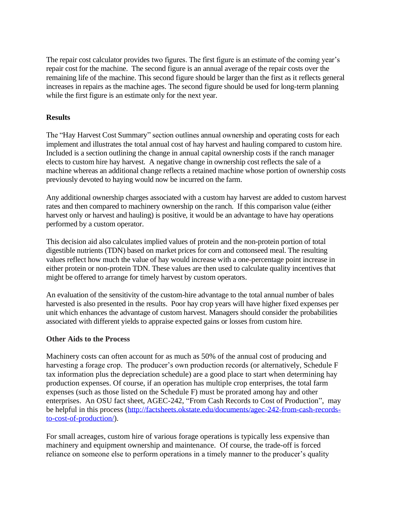The repair cost calculator provides two figures. The first figure is an estimate of the coming year's repair cost for the machine. The second figure is an annual average of the repair costs over the remaining life of the machine. This second figure should be larger than the first as it reflects general increases in repairs as the machine ages. The second figure should be used for long-term planning while the first figure is an estimate only for the next year.

## **Results**

The "Hay Harvest Cost Summary" section outlines annual ownership and operating costs for each implement and illustrates the total annual cost of hay harvest and hauling compared to custom hire. Included is a section outlining the change in annual capital ownership costs if the ranch manager elects to custom hire hay harvest. A negative change in ownership cost reflects the sale of a machine whereas an additional change reflects a retained machine whose portion of ownership costs previously devoted to haying would now be incurred on the farm.

Any additional ownership charges associated with a custom hay harvest are added to custom harvest rates and then compared to machinery ownership on the ranch. If this comparison value (either harvest only or harvest and hauling) is positive, it would be an advantage to have hay operations performed by a custom operator.

This decision aid also calculates implied values of protein and the non-protein portion of total digestible nutrients (TDN) based on market prices for corn and cottonseed meal. The resulting values reflect how much the value of hay would increase with a one-percentage point increase in either protein or non-protein TDN. These values are then used to calculate quality incentives that might be offered to arrange for timely harvest by custom operators.

An evaluation of the sensitivity of the custom-hire advantage to the total annual number of bales harvested is also presented in the results. Poor hay crop years will have higher fixed expenses per unit which enhances the advantage of custom harvest. Managers should consider the probabilities associated with different yields to appraise expected gains or losses from custom hire.

# **Other Aids to the Process**

Machinery costs can often account for as much as 50% of the annual cost of producing and harvesting a forage crop. The producer's own production records (or alternatively, Schedule F tax information plus the depreciation schedule) are a good place to start when determining hay production expenses. Of course, if an operation has multiple crop enterprises, the total farm expenses (such as those listed on the Schedule F) must be prorated among hay and other enterprises. An OSU fact sheet, AGEC-242, "From Cash Records to Cost of Production", may be helpful in this process [\(http://factsheets.okstate.edu/documents/agec-242-from-cash-records](http://factsheets.okstate.edu/documents/agec-242-from-cash-records-to-cost-of-production/)[to-cost-of-production/\)](http://factsheets.okstate.edu/documents/agec-242-from-cash-records-to-cost-of-production/).

For small acreages, custom hire of various forage operations is typically less expensive than machinery and equipment ownership and maintenance. Of course, the trade-off is forced reliance on someone else to perform operations in a timely manner to the producer's quality